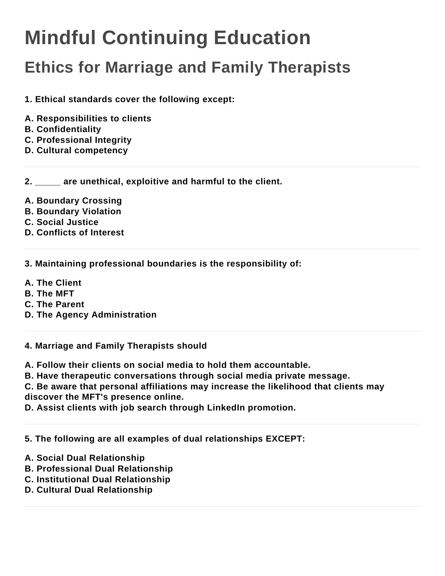## **Mindful Continuing Education**

## **Ethics for Marriage and Family Therapists**

**1. Ethical standards cover the following except:**

- **A. Responsibilities to clients**
- **B. Confidentiality**
- **C. Professional Integrity**
- **D. Cultural competency**

**2. \_\_\_\_\_ are unethical, exploitive and harmful to the client.**

- **A. Boundary Crossing**
- **B. Boundary Violation**
- **C. Social Justice**
- **D. Conflicts of Interest**

**3. Maintaining professional boundaries is the responsibility of:**

- **A. The Client**
- **B. The MFT**
- **C. The Parent**
- **D. The Agency Administration**

**4. Marriage and Family Therapists should**

**A. Follow their clients on social media to hold them accountable.**

**B. Have therapeutic conversations through social media private message.**

**C. Be aware that personal affiliations may increase the likelihood that clients may discover the MFT's presence online.**

**D. Assist clients with job search through LinkedIn promotion.**

## **5. The following are all examples of dual relationships EXCEPT:**

- **A. Social Dual Relationship**
- **B. Professional Dual Relationship**
- **C. Institutional Dual Relationship**
- **D. Cultural Dual Relationship**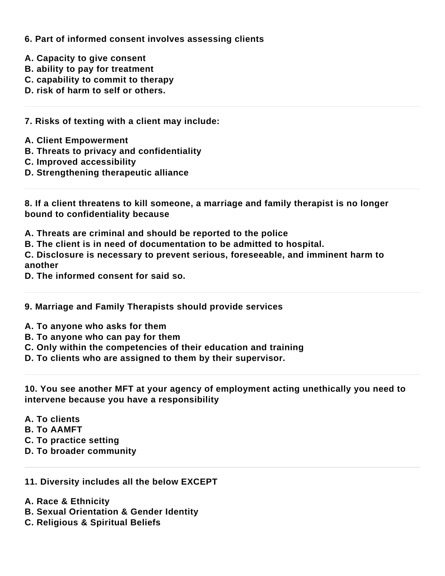**6. Part of informed consent involves assessing clients**

- **A. Capacity to give consent**
- **B. ability to pay for treatment**
- **C. capability to commit to therapy**
- **D. risk of harm to self or others.**

**7. Risks of texting with a client may include:**

- **A. Client Empowerment**
- **B. Threats to privacy and confidentiality**
- **C. Improved accessibility**
- **D. Strengthening therapeutic alliance**

**8. If a client threatens to kill someone, a marriage and family therapist is no longer bound to confidentiality because**

- **A. Threats are criminal and should be reported to the police**
- **B. The client is in need of documentation to be admitted to hospital.**

**C. Disclosure is necessary to prevent serious, foreseeable, and imminent harm to another**

**D. The informed consent for said so.**

- **9. Marriage and Family Therapists should provide services**
- **A. To anyone who asks for them**
- **B. To anyone who can pay for them**
- **C. Only within the competencies of their education and training**
- **D. To clients who are assigned to them by their supervisor.**

**10. You see another MFT at your agency of employment acting unethically you need to intervene because you have a responsibility**

- **A. To clients**
- **B. To AAMFT**
- **C. To practice setting**
- **D. To broader community**
- **11. Diversity includes all the below EXCEPT**
- **A. Race & Ethnicity**
- **B. Sexual Orientation & Gender Identity**
- **C. Religious & Spiritual Beliefs**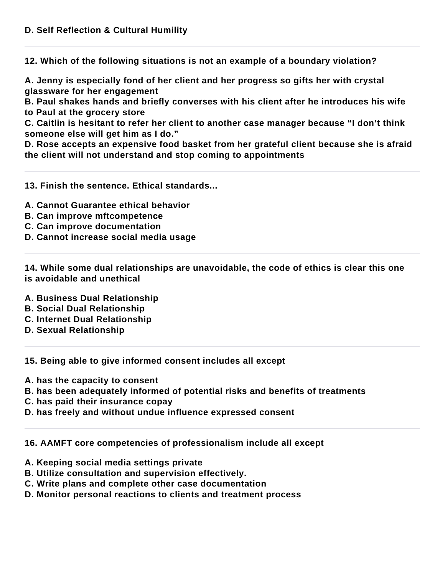**12. Which of the following situations is not an example of a boundary violation?**

**A. Jenny is especially fond of her client and her progress so gifts her with crystal glassware for her engagement**

**B. Paul shakes hands and briefly converses with his client after he introduces his wife to Paul at the grocery store**

**C. Caitlin is hesitant to refer her client to another case manager because "I don't think someone else will get him as I do."**

**D. Rose accepts an expensive food basket from her grateful client because she is afraid the client will not understand and stop coming to appointments**

**13. Finish the sentence. Ethical standards...**

- **A. Cannot Guarantee ethical behavior**
- **B. Can improve mftcompetence**
- **C. Can improve documentation**
- **D. Cannot increase social media usage**

**14. While some dual relationships are unavoidable, the code of ethics is clear this one is avoidable and unethical**

- **A. Business Dual Relationship**
- **B. Social Dual Relationship**
- **C. Internet Dual Relationship**
- **D. Sexual Relationship**

**15. Being able to give informed consent includes all except**

- **A. has the capacity to consent**
- **B. has been adequately informed of potential risks and benefits of treatments**
- **C. has paid their insurance copay**
- **D. has freely and without undue influence expressed consent**

**16. AAMFT core competencies of professionalism include all except**

- **A. Keeping social media settings private**
- **B. Utilize consultation and supervision effectively.**
- **C. Write plans and complete other case documentation**
- **D. Monitor personal reactions to clients and treatment process**